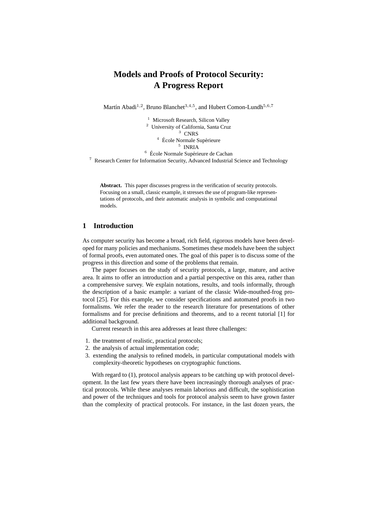# **Models and Proofs of Protocol Security: A Progress Report**

Martín Abadi<sup>1,2</sup>, Bruno Blanchet<sup>3,4,5</sup>, and Hubert Comon-Lundh<sup>5,6,7</sup>

<sup>1</sup> Microsoft Research, Silicon Valley <sup>2</sup> University of California, Santa Cruz <sup>3</sup> CNRS <sup>4</sup> École Normale Supérieure 5 INRIA  $6$  École Normale Supérieure de Cachan

<sup>7</sup> Research Center for Information Security, Advanced Industrial Science and Technology

**Abstract.** This paper discusses progress in the verification of security protocols. Focusing on a small, classic example, it stresses the use of program-like representations of protocols, and their automatic analysis in symbolic and computational models.

## **1 Introduction**

As computer security has become a broad, rich field, rigorous models have been developed for many policies and mechanisms. Sometimes these models have been the subject of formal proofs, even automated ones. The goal of this paper is to discuss some of the progress in this direction and some of the problems that remain.

The paper focuses on the study of security protocols, a large, mature, and active area. It aims to offer an introduction and a partial perspective on this area, rather than a comprehensive survey. We explain notations, results, and tools informally, through the description of a basic example: a variant of the classic Wide-mouthed-frog protocol [25]. For this example, we consider specifications and automated proofs in two formalisms. We refer the reader to the research literature for presentations of other formalisms and for precise definitions and theorems, and to a recent tutorial [1] for additional background.

Current research in this area addresses at least three challenges:

- 1. the treatment of realistic, practical protocols;
- 2. the analysis of actual implementation code;
- 3. extending the analysis to refined models, in particular computational models with complexity-theoretic hypotheses on cryptographic functions.

With regard to (1), protocol analysis appears to be catching up with protocol development. In the last few years there have been increasingly thorough analyses of practical protocols. While these analyses remain laborious and difficult, the sophistication and power of the techniques and tools for protocol analysis seem to have grown faster than the complexity of practical protocols. For instance, in the last dozen years, the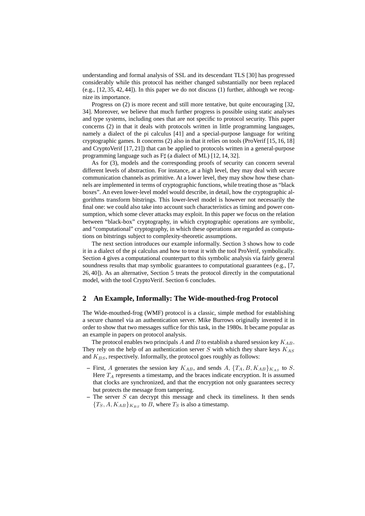understanding and formal analysis of SSL and its descendant TLS [30] has progressed considerably while this protocol has neither changed substantially nor been replaced (e.g., [12, 35, 42, 44]). In this paper we do not discuss (1) further, although we recognize its importance.

Progress on (2) is more recent and still more tentative, but quite encouraging [32, 34]. Moreover, we believe that much further progress is possible using static analyses and type systems, including ones that are not specific to protocol security. This paper concerns (2) in that it deals with protocols written in little programming languages, namely a dialect of the pi calculus [41] and a special-purpose language for writing cryptographic games. It concerns (2) also in that it relies on tools (ProVerif [15, 16, 18] and CryptoVerif [17, 21]) that can be applied to protocols written in a general-purpose programming language such as  $F\sharp$  (a dialect of ML) [12, 14, 32].

As for (3), models and the corresponding proofs of security can concern several different levels of abstraction. For instance, at a high level, they may deal with secure communication channels as primitive. At a lower level, they may show how these channels are implemented in terms of cryptographic functions, while treating those as "black boxes". An even lower-level model would describe, in detail, how the cryptographic algorithms transform bitstrings. This lower-level model is however not necessarily the final one: we could also take into account such characteristics as timing and power consumption, which some clever attacks may exploit. In this paper we focus on the relation between "black-box" cryptography, in which cryptographic operations are symbolic, and "computational" cryptography, in which these operations are regarded as computations on bitstrings subject to complexity-theoretic assumptions.

The next section introduces our example informally. Section 3 shows how to code it in a dialect of the pi calculus and how to treat it with the tool ProVerif, symbolically. Section 4 gives a computational counterpart to this symbolic analysis via fairly general soundness results that map symbolic guarantees to computational guarantees (e.g., [7, 26, 40]). As an alternative, Section 5 treats the protocol directly in the computational model, with the tool CryptoVerif. Section 6 concludes.

## **2 An Example, Informally: The Wide-mouthed-frog Protocol**

The Wide-mouthed-frog (WMF) protocol is a classic, simple method for establishing a secure channel via an authentication server. Mike Burrows originally invented it in order to show that two messages suffice for this task, in the 1980s. It became popular as an example in papers on protocol analysis.

The protocol enables two principals A and B to establish a shared session key  $K_{AB}$ . They rely on the help of an authentication server  $S$  with which they share keys  $K_{AS}$ and  $K_{BS}$ , respectively. Informally, the protocol goes roughly as follows:

- First, A generates the session key  $K_{AB}$ , and sends  $A$ ,  $\{T_A, B, K_{AB}\}_{K_{AS}}$  to  $S$ . Here  $T_A$  represents a timestamp, and the braces indicate encryption. It is assumed that clocks are synchronized, and that the encryption not only guarantees secrecy but protects the message from tampering.
- **–** The server S can decrypt this message and check its timeliness. It then sends  ${T_S, A, K_{AB}}_{K_{BS}}$  to B, where  $T_S$  is also a timestamp.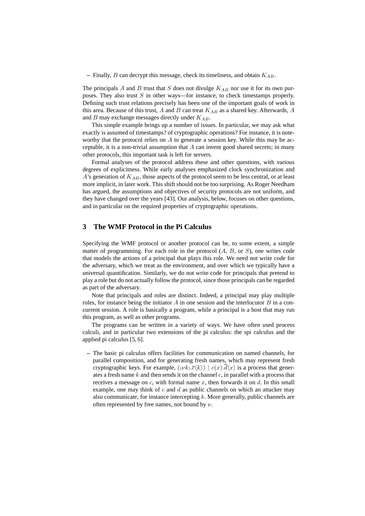$-$  Finally, B can decrypt this message, check its timeliness, and obtain  $K_{AB}$ .

The principals A and B trust that S does not divulge  $K_{AB}$  nor use it for its own purposes. They also trust  $S$  in other ways—for instance, to check timestamps properly. Defining such trust relations precisely has been one of the important goals of work in this area. Because of this trust, A and B can treat  $K_{AB}$  as a shared key. Afterwards, A and B may exchange messages directly under  $K_{AB}$ .

This simple example brings up a number of issues. In particular, we may ask what exactly is assumed of timestamps? of cryptographic operations? For instance, it is noteworthy that the protocol relies on A to generate a session key. While this may be acceptable, it is a non-trivial assumption that  $A$  can invent good shared secrets; in many other protocols, this important task is left for servers.

Formal analyses of the protocol address these and other questions, with various degrees of explicitness. While early analyses emphasized clock synchronization and A's generation of  $K_{AB}$ , those aspects of the protocol seem to be less central, or at least more implicit, in later work. This shift should not be too surprising. As Roger Needham has argued, the assumptions and objectives of security protocols are not uniform, and they have changed over the years [43]. Our analysis, below, focuses on other questions, and in particular on the required properties of cryptographic operations.

### **3 The WMF Protocol in the Pi Calculus**

Specifying the WMF protocol or another protocol can be, to some extent, a simple matter of programming. For each role in the protocol  $(A, B, \text{or } S)$ , one writes code that models the actions of a principal that plays this role. We need not write code for the adversary, which we treat as the environment, and over which we typically have a universal quantification. Similarly, we do not write code for principals that pretend to play a role but do not actually follow the protocol, since those principals can be regarded as part of the adversary.

Note that principals and roles are distinct. Indeed, a principal may play multiple roles, for instance being the initiator  $A$  in one session and the interlocutor  $B$  in a concurrent session. A role is basically a program, while a principal is a host that may run this program, as well as other programs.

The programs can be written in a variety of ways. We have often used process calculi, and in particular two extensions of the pi calculus: the spi calculus and the applied pi calculus [5, 6].

**–** The basic pi calculus offers facilities for communication on named channels, for parallel composition, and for generating fresh names, which may represent fresh cryptographic keys. For example,  $((\nu k) \cdot \overline{c}(k)) | c(x) \cdot \overline{d}(x)$  is a process that generates a fresh name  $k$  and then sends it on the channel  $c$ , in parallel with a process that receives a message on  $c$ , with formal name  $x$ , then forwards it on  $d$ . In this small example, one may think of c and d as public channels on which an attacker may also communicate, for instance intercepting  $k$ . More generally, public channels are often represented by free names, not bound by  $\nu$ .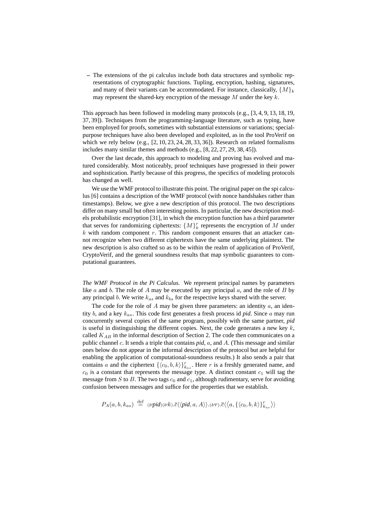**–** The extensions of the pi calculus include both data structures and symbolic representations of cryptographic functions. Tupling, encryption, hashing, signatures, and many of their variants can be accommodated. For instance, classically,  $\{M\}_k$ may represent the shared-key encryption of the message  $M$  under the key  $k$ .

This approach has been followed in modeling many protocols (e.g., [3, 4, 9, 13, 18, 19, 37, 39]). Techniques from the programming-language literature, such as typing, have been employed for proofs, sometimes with substantial extensions or variations; specialpurpose techniques have also been developed and exploited, as in the tool ProVerif on which we rely below (e.g.,  $[2, 10, 23, 24, 28, 33, 36]$ ). Research on related formalisms includes many similar themes and methods (e.g., [8, 22, 27, 29, 38, 45]).

Over the last decade, this approach to modeling and proving has evolved and matured considerably. Most noticeably, proof techniques have progressed in their power and sophistication. Partly because of this progress, the specifics of modeling protocols has changed as well.

We use the WMF protocol to illustrate this point. The original paper on the spi calculus [6] contains a description of the WMF protocol (with nonce handshakes rather than timestamps). Below, we give a new description of this protocol. The two descriptions differ on many small but often interesting points. In particular, the new description models probabilistic encryption [31], in which the encryption function has a third parameter that serves for randomizing ciphertexts:  $\{M\}^r_k$  represents the encryption of M under  $k$  with random component  $r$ . This random component ensures that an attacker cannot recognize when two different ciphertexts have the same underlying plaintext. The new description is also crafted so as to be within the realm of application of ProVerif, CryptoVerif, and the general soundness results that map symbolic guarantees to computational guarantees.

*The WMF Protocol in the Pi Calculus.* We represent principal names by parameters like a and b. The role of A may be executed by any principal  $a$ , and the role of B by any principal b. We write  $k_{as}$  and  $k_{bs}$  for the respective keys shared with the server.

The code for the role of  $A$  may be given three parameters: an identity  $a$ , an identity b, and a key  $k_{as}$ . This code first generates a fresh process id *pid*. Since a may run concurrently several copies of the same program, possibly with the same partner, *pid* is useful in distinguishing the different copies. Next, the code generates a new key  $k$ , called  $K_{AB}$  in the informal description of Section 2. The code then communicates on a public channel c. It sends a triple that contains *pid*, a, and A. (This message and similar ones below do not appear in the informal description of the protocol but are helpful for enabling the application of computational-soundness results.) It also sends a pair that contains a and the ciphertext  $\{\langle c_0, b, k \rangle\}_{k_{as}}^r$ . Here r is a freshly generated name, and  $c_0$  is a constant that represents the message type. A distinct constant  $c_1$  will tag the message from S to B. The two tags  $c_0$  and  $c_1$ , although rudimentary, serve for avoiding confusion between messages and suffice for the properties that we establish.

$$
P_A(a, b, k_{as}) \stackrel{\text{def}}{=} (\nu pid)(\nu k) \cdot \overline{c} \langle \langle pid, a, A \rangle \rangle \cdot (\nu r) \cdot \overline{c} \langle \langle a, \{\langle c_0, b, k \rangle\}_{k_{as}}^r \rangle \rangle
$$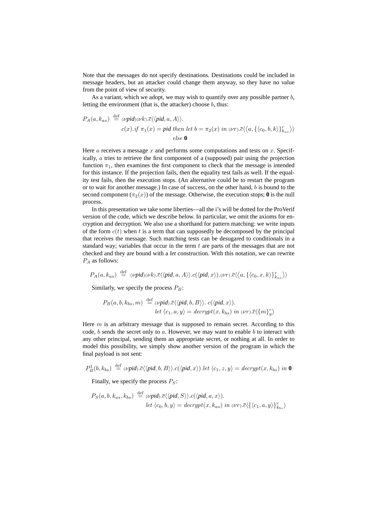Note that the messages do not specify destinations. Destinations could be included in message headers, but an attacker could change them anyway, so they have no value from the point of view of security.

As a variant, which we adopt, we may wish to quantify over any possible partner  $b$ , letting the environment (that is, the attacker) choose  $b$ , thus:

$$
P_A(a, k_{as}) \stackrel{\text{def}}{=} (\nu \text{pid})(\nu k). \overline{c} \langle \langle \text{pid}, a, A \rangle \rangle.
$$
  

$$
c(x). \text{if } \pi_1(x) = \text{pid then let } b = \pi_2(x) \text{ in } (\nu r). \overline{c} \langle \langle a, \{ \langle c_0, b, k \rangle \}_{k_{as}}^r \rangle \rangle
$$
  
else **0**

Here  $a$  receives a message  $x$  and performs some computations and tests on  $x$ . Specifically,  $\alpha$  tries to retrieve the first component of a (supposed) pair using the projection function  $\pi_1$ , then examines the first component to check that the message is intended for this instance. If the projection fails, then the equality test fails as well. If the equality test fails, then the execution stops. (An alternative could be to restart the program or to wait for another message.) In case of success, on the other hand,  $b$  is bound to the second component  $(\pi_2(x))$  of the message. Otherwise, the execution stops; **0** is the null process.

In this presentation we take some liberties—all the i's will be dotted for the ProVerif version of the code, which we describe below. In particular, we omit the axioms for encryption and decryption. We also use a shorthand for pattern matching: we write inputs of the form  $c(t)$  when t is a term that can supposedly be decomposed by the principal that receives the message. Such matching tests can be desugared to conditionals in a standard way; variables that occur in the term  $t$  are parts of the messages that are not checked and they are bound with a *let* construction. With this notation, we can rewrite  $P_A$  as follows:

$$
P_A(a, k_{as}) \stackrel{\text{def}}{=} (\nu \text{pid}) (\nu k) . \overline{c} \langle \langle \text{pid}, a, A \rangle \rangle . c(\langle \text{pid}, x \rangle) . (\nu r) . \overline{c} \langle \langle a, \{ \langle c_0, x, k \rangle \}_{k_{as}}^r \rangle )
$$

Similarly, we specify the process  $P_B$ :

$$
P_B(a, b, k_{bs}, m) \stackrel{\text{def}}{=} (\nu \text{pid}, \overline{c} \langle \langle \text{pid}, b, B \rangle \rangle. \ c(\langle \text{pid}, x \rangle).
$$
  

$$
\text{let } \langle c_1, a, y \rangle = \text{decrypt}(x, k_{bs}) \text{ in } (\nu r). \overline{c} \langle \{m\}_y^r \rangle
$$

Here  $m$  is an arbitrary message that is supposed to remain secret. According to this code,  $b$  sends the secret only to  $a$ . However, we may want to enable  $b$  to interact with any other principal, sending them an appropriate secret, or nothing at all. In order to model this possibility, we simply show another version of the program in which the final payload is not sent:

$$
P_B^1(b, k_{bs}) \stackrel{\text{def}}{=} (\nu pid, \bar{c} \langle \langle pid, b, B \rangle \rangle \cdot c(\langle pid, x \rangle). \text{let } \langle c_1, z, y \rangle = \text{decrypt}(x, k_{bs}) \text{ in } 0
$$

Finally, we specify the process  $P<sub>S</sub>$ :

$$
P_S(a, b, k_{as}, k_{bs}) \stackrel{\text{def}}{=} (\nu \text{pid}, \overline{c} \langle \langle \text{pid}, S \rangle \rangle \cdot c(\langle \text{pid}, a, x \rangle)).
$$
  

$$
let \langle c_0, b, y \rangle = decrypt(x, k_{as}) \text{ in } (\nu r) \cdot \overline{c} \langle \{ \langle c_1, a, y \rangle \}_{k_{bs}}^r \rangle
$$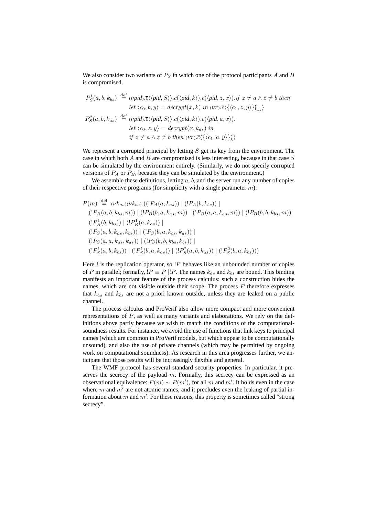We also consider two variants of  $P<sub>S</sub>$  in which one of the protocol participants A and B is compromised.

$$
P_S^1(a, b, k_{bs}) \stackrel{\text{def}}{=} (\nu \text{pid}, \overline{c} \langle \langle \text{pid}, S \rangle \rangle \cdot c(\langle \text{pid}, k \rangle) \cdot c(\langle \text{pid}, z, x \rangle) \cdot \text{if } z \neq a \land z \neq b \text{ then}
$$
  

$$
\text{let } \langle c_0, b, y \rangle = \text{decrypt}(x, k) \text{ in } (\nu r) \cdot \overline{c} \langle \{ \langle c_1, z, y \rangle \}_{k_{bs}}^r \rangle
$$
  

$$
P_S^2(a, b, k_{as}) \stackrel{\text{def}}{=} (\nu \text{pid}, \overline{c} \langle \langle \text{pid}, S \rangle \rangle \cdot c(\langle \text{pid}, k \rangle) \cdot c(\langle \text{pid}, a, x \rangle).
$$
  

$$
\text{let } \langle c_0, z, y \rangle = \text{decrypt}(x, k_{as}) \text{ in}
$$
  

$$
\text{if } z \neq a \land z \neq b \text{ then } (\nu r) \cdot \overline{c} \langle \{ \langle c_1, a, y \rangle \}_{k}^r \rangle
$$

We represent a corrupted principal by letting  $S$  get its key from the environment. The case in which both A and B are compromised is less interesting, because in that case  $S$ can be simulated by the environment entirely. (Similarly, we do not specify corrupted versions of  $P_A$  or  $P_B$ , because they can be simulated by the environment.)

We assemble these definitions, letting  $a, b$ , and the server run any number of copies of their respective programs (for simplicity with a single parameter  $m$ ):

$$
P(m) \stackrel{\text{def}}{=} (\nu k_{as})(\nu k_{bs}).((P_A(a, k_{as})) | (P_A(b, k_{bs})) |
$$
  
\n
$$
(|P_B(a, b, k_{bs}, m)) | (P_B(b, a, k_{as}, m)) | (P_B(a, a, k_{as}, m)) | (P_B(b, b, k_{bs}, m)) |
$$
  
\n
$$
(|P_B^1(b, k_{bs})) | (P_B^1(a, k_{as})) |
$$
  
\n
$$
(|P_S(a, b, k_{as}, k_{bs})) | (P_S(b, a, k_{bs}, k_{as})) |
$$
  
\n
$$
(|P_S(a, a, k_{as}, k_{as})) | (P_S(b, b, k_{bs}, k_{bs})) |
$$
  
\n
$$
(|P_S^1(a, b, k_{bs})) | (P_S^1(b, a, k_{as})) | (P_S^2(a, b, k_{as})) | (P_S^2(b, a, k_{bs})) |
$$

Here ! is the replication operator, so  $P$  behaves like an unbounded number of copies of P in parallel; formally,  $IP \equiv P \vert IP$ . The names  $k_{as}$  and  $k_{bs}$  are bound. This binding manifests an important feature of the process calculus: such a construction hides the names, which are not visible outside their scope. The process  $P$  therefore expresses that  $k_{as}$  and  $k_{bs}$  are not a priori known outside, unless they are leaked on a public channel.

The process calculus and ProVerif also allow more compact and more convenient representations of P, as well as many variants and elaborations. We rely on the definitions above partly because we wish to match the conditions of the computationalsoundness results. For instance, we avoid the use of functions that link keys to principal names (which are common in ProVerif models, but which appear to be computationally unsound), and also the use of private channels (which may be permitted by ongoing work on computational soundness). As research in this area progresses further, we anticipate that those results will be increasingly flexible and general.

The WMF protocol has several standard security properties. In particular, it preserves the secrecy of the payload  $m$ . Formally, this secrecy can be expressed as an observational equivalence:  $P(m) \sim P(m')$ , for all m and m'. It holds even in the case where  $m$  and  $m'$  are not atomic names, and it precludes even the leaking of partial information about m and  $m'$ . For these reasons, this property is sometimes called "strong secrecy".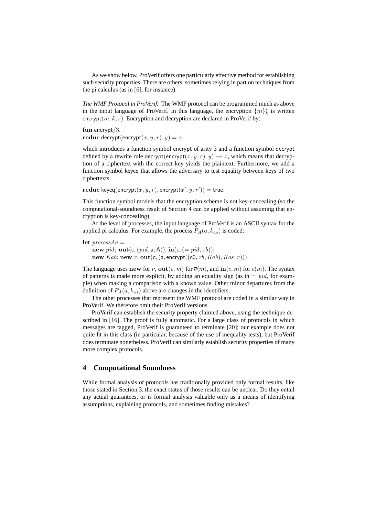As we show below, ProVerif offers one particularly effective method for establishing such security properties. There are others, sometimes relying in part on techniques from the pi calculus (as in [6], for instance).

*The WMF Protocol in ProVerif.* The WMF protocol can be programmed much as above in the input language of ProVerif. In this language, the encryption  $\{m\}_k^r$  is written encrypt $(m, k, r)$ . Encryption and decryption are declared in ProVerif by:

fun encrypt/3. reduc decrypt(encrypt(x, y, r),  $y$ ) = x.

which introduces a function symbol encrypt of arity 3 and a function symbol decrypt defined by a rewrite rule decrypt(encrypt(x, y, r), y)  $\rightarrow x$ , which means that decryption of a ciphertext with the correct key yields the plaintext. Furthermore, we add a function symbol keyeq that allows the adversary to test equality between keys of two ciphertexts:

 $\text{reduce } \text{keyeq}(\text{encrypt}(x, y, r), \text{encrypt}(x', y, r')) = \text{true}.$ 

This function symbol models that the encryption scheme is not key-concealing (so the computational-soundness result of Section 4 can be applied without assuming that encryption is key-concealing).

At the level of processes, the input language of ProVerif is an ASCII syntax for the applied pi calculus. For example, the process  $P_A(a, k_{as})$  is coded:

#### let  $\textit{processAa} =$

new pid;  $out(c,(pid, a, A));$   $in(c, (=pid, xb));$ new  $Kab$ ; new  $r$ ; out(c, (a, encrypt((c0, xb,  $Kab$ ),  $Kas, r$ ))).

The language uses new for  $\nu$ , out  $(c, m)$  for  $\bar{c}(m)$ , and in $(c, m)$  for  $c(m)$ . The syntax of patterns is made more explicit, by adding an equality sign (as in  $= pid$ , for example) when making a comparison with a known value. Other minor departures from the definition of  $P_A(a, k_{as})$  above are changes in the identifiers.

The other processes that represent the WMF protocol are coded in a similar way in ProVerif. We therefore omit their ProVerif versions.

ProVerif can establish the security property claimed above, using the technique described in [16]. The proof is fully automatic. For a large class of protocols in which messages are tagged, ProVerif is guaranteed to terminate [20]; our example does not quite fit in this class (in particular, because of the use of inequality tests), but ProVerif does terminate nonetheless. ProVerif can similarly establish security properties of many more complex protocols.

#### **4 Computational Soundness**

While formal analysis of protocols has traditionally provided only formal results, like those stated in Section 3, the exact status of those results can be unclear. Do they entail any actual guarantees, or is formal analysis valuable only as a means of identifying assumptions, explaining protocols, and sometimes finding mistakes?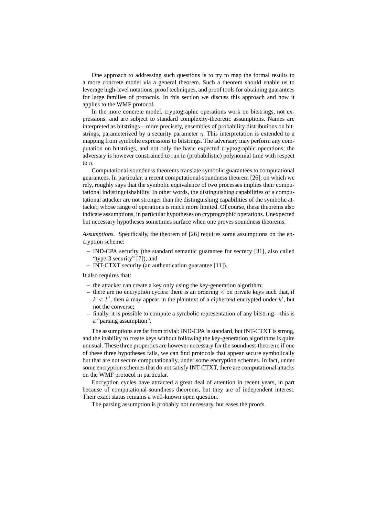One approach to addressing such questions is to try to map the formal results to a more concrete model via a general theorem. Such a theorem should enable us to leverage high-level notations, proof techniques, and proof tools for obtaining guarantees for large families of protocols. In this section we discuss this approach and how it applies to the WMF protocol.

In the more concrete model, cryptographic operations work on bitstrings, not expressions, and are subject to standard complexity-theoretic assumptions. Names are interpreted as bitstrings—more precisely, ensembles of probability distributions on bitstrings, parameterized by a security parameter  $\eta$ . This interpretation is extended to a mapping from symbolic expressions to bitstrings. The adversary may perform any computation on bitstrings, and not only the basic expected cryptographic operations; the adversary is however constrained to run in (probabilistic) polynomial time with respect to  $\eta$ .

Computational-soundness theorems translate symbolic guarantees to computational guarantees. In particular, a recent computational-soundness theorem [26], on which we rely, roughly says that the symbolic equivalence of two processes implies their computational indistinguishability. In other words, the distinguishing capabilities of a computational attacker are not stronger than the distinguishing capabilities of the symbolic attacker, whose range of operations is much more limited. Of course, these theorems also indicate assumptions, in particular hypotheses on cryptographic operations. Unexpected but necessary hypotheses sometimes surface when one proves soundness theorems.

*Assumptions.* Specifically, the theorem of [26] requires some assumptions on the encryption scheme:

- **–** IND-CPA security (the standard semantic guarantee for secrecy [31], also called "type-3 security" [7]), and
- **–** INT-CTXT security (an authentication guarantee [11]).

It also requires that:

- **–** the attacker can create a key only using the key-generation algorithm;
- **–** there are no encryption cycles: there is an ordering < on private keys such that, if  $k < k'$ , then k may appear in the plaintext of a ciphertext encrypted under k', but not the converse;
- **–** finally, it is possible to compute a symbolic representation of any bitstring—this is a "parsing assumption".

The assumptions are far from trivial: IND-CPA is standard, but INT-CTXT is strong, and the inability to create keys without following the key-generation algorithms is quite unusual. These three properties are however necessary for the soundness theorem: if one of these three hypotheses fails, we can find protocols that appear secure symbolically but that are not secure computationally, under some encryption schemes. In fact, under some encryption schemes that do not satisfy INT-CTXT, there are computational attacks on the WMF protocol in particular.

Encryption cycles have attracted a great deal of attention in recent years, in part because of computational-soundness theorems, but they are of independent interest. Their exact status remains a well-known open question.

The parsing assumption is probably not necessary, but eases the proofs.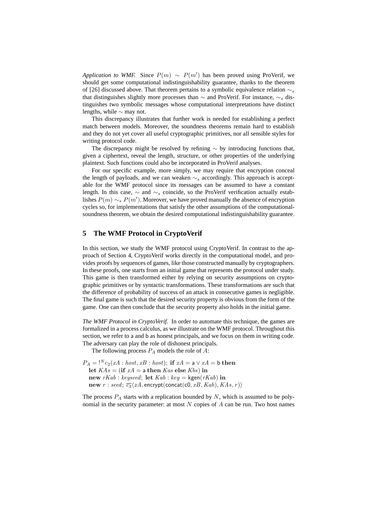*Application to WMF.* Since  $P(m) \sim P(m')$  has been proved using ProVerif, we should get some computational indistinguishability guarantee, thanks to the theorem of [26] discussed above. That theorem pertains to a symbolic equivalence relation  $\sim_s$ that distinguishes slightly more processes than  $\sim$  and ProVerif. For instance,  $\sim_s$  distinguishes two symbolic messages whose computational interpretations have distinct lengths, while  $\sim$  may not.

This discrepancy illustrates that further work is needed for establishing a perfect match between models. Moreover, the soundness theorems remain hard to establish and they do not yet cover all useful cryptographic primitives, nor all sensible styles for writing protocol code.

The discrepancy might be resolved by refining  $\sim$  by introducing functions that, given a ciphertext, reveal the length, structure, or other properties of the underlying plaintext. Such functions could also be incorporated in ProVerif analyses.

For our specific example, more simply, we may require that encryption conceal the length of payloads, and we can weaken  $\sim$ <sub>s</sub> accordingly. This approach is acceptable for the WMF protocol since its messages can be assumed to have a constant length. In this case, ∼ and ∼<sup>s</sup> coincide, so the ProVerif verification actually establishes  $P(m) \sim_s P(m')$ . Moreover, we have proved manually the absence of encryption cycles so, for implementations that satisfy the other assumptions of the computationalsoundness theorem, we obtain the desired computational indistinguishability guarantee.

## **5 The WMF Protocol in CryptoVerif**

In this section, we study the WMF protocol using CryptoVerif. In contrast to the approach of Section 4, CryptoVerif works directly in the computational model, and provides proofs by sequences of games, like those constructed manually by cryptographers. In these proofs, one starts from an initial game that represents the protocol under study. This game is then transformed either by relying on security assumptions on cryptographic primitives or by syntactic transformations. These transformations are such that the difference of probability of success of an attack in consecutive games is negligible. The final game is such that the desired security property is obvious from the form of the game. One can then conclude that the security property also holds in the initial game.

*The WMF Protocol in CryptoVerif.* In order to automate this technique, the games are formalized in a process calculus, as we illustrate on the WMF protocol. Throughout this section, we refer to a and b as honest principals, and we focus on them in writing code. The adversary can play the role of dishonest principals.

The following process  $P_A$  models the role of A:

 $P_A =$  !<sup>N</sup>c<sub>2</sub>(xA : host, xB : host); if xA = a  $\vee$  xA = b then let  $KAs = (if xA = a then Kas else Kbs)$  in new  $rKab$ : keyseed; let  $Kab$ : key = kgen( $rKab$ ) in new  $r : seed; \overline{c_3}\langle xA, \text{encrypt}(\text{concat}(c0, xB, Kab), KAs, r) \rangle$ 

The process  $P_A$  starts with a replication bounded by N, which is assumed to be polynomial in the security parameter: at most  $N$  copies of  $A$  can be run. Two host names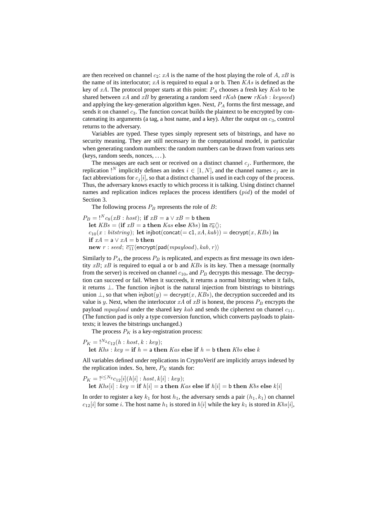are then received on channel  $c_2$ : xA is the name of the host playing the role of A, xB is the name of its interlocutor;  $xA$  is required to equal a or b. Then  $KAs$  is defined as the key of  $xA$ . The protocol proper starts at this point:  $P_A$  chooses a fresh key  $Kab$  to be shared between xA and xB by generating a random seed  $rKab$  (new  $rKab$  : keyseed) and applying the key-generation algorithm kgen. Next,  $P_A$  forms the first message, and sends it on channel  $c_3$ . The function concat builds the plaintext to be encrypted by concatenating its arguments (a tag, a host name, and a key). After the output on  $c_3$ , control returns to the adversary.

Variables are typed. These types simply represent sets of bitstrings, and have no security meaning. They are still necessary in the computational model, in particular when generating random numbers: the random numbers can be drawn from various sets (keys, random seeds, nonces, . . . ).

The messages are each sent or received on a distinct channel  $c_i$ . Furthermore, the replication !<sup>N</sup> implicitly defines an index  $i \in [1, N]$ , and the channel names  $c_j$  are in fact abbreviations for  $c_i[i]$ , so that a distinct channel is used in each copy of the process. Thus, the adversary knows exactly to which process it is talking. Using distinct channel names and replication indices replaces the process identifiers (*pid*) of the model of Section 3.

The following process  $P_B$  represents the role of B:

 $P_B =$  !<sup>N</sup>c<sub>8</sub>(xB : host); if xB = a  $\vee$  xB = b then let  $KBs = (if xB = a then Kas else Kbs) in  $\overline{c_9}\langle\rangle$ ;$  $c_{10}(x : \text{bitstring})$ ; let injbot(concat(= c1, xA, kab)) = decrypt(x, KBs) in if  $xA = a \vee xA = b$  then new  $r : seed; \overline{c_{11}}$  $\langle$ encrypt $(pad(mpayload), kab, r) \rangle$ 

Similarly to  $P_A$ , the process  $P_B$  is replicated, and expects as first message its own identity  $xB$ ;  $xB$  is required to equal a or b and  $KBs$  is its key. Then a message (normally from the server) is received on channel  $c_{10}$ , and  $P_B$  decrypts this message. The decryption can succeed or fail. When it succeeds, it returns a normal bitstring; when it fails, it returns ⊥. The function injbot is the natural injection from bitstrings to bitstrings union  $\perp$ , so that when injbot $(y) =$  decrypt $(x, KBs)$ , the decryption succeeded and its value is y. Next, when the interlocutor xA of xB is honest, the process  $P_B$  encrypts the payload mpayload under the shared key kab and sends the ciphertext on channel  $c_{11}$ . (The function pad is only a type conversion function, which converts payloads to plaintexts; it leaves the bitstrings unchanged.)

The process  $P_K$  is a key-registration process:

 $P_K = 1^{N_2} c_{12}(h : host, k : key);$ let  $Khs : key =$  if  $h =$  a then  $Kas$  else if  $h =$  b then  $Kbs$  else k

All variables defined under replications in CryptoVerif are implicitly arrays indexed by the replication index. So, here,  $P_K$  stands for:

$$
P_K = \frac{!^i \leq N_2} c_{12}[i](h[i]: host, k[i]: key);
$$
  
let  $Kh[s[i]: key = \textbf{if } h[i] = \textbf{a}$  then  $Kas$  else if  $h[i] = \textbf{b}$  then  $Kbs$  else  $k[i]$ 

In order to register a key  $k_1$  for host  $h_1$ , the adversary sends a pair  $(h_1, k_1)$  on channel  $c_{12}[i]$  for some i. The host name  $h_1$  is stored in  $h[i]$  while the key  $k_1$  is stored in  $Kh[s[i],$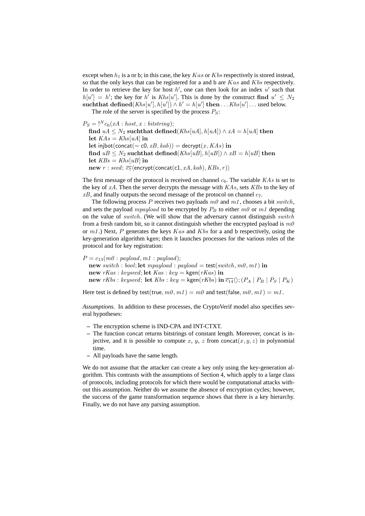except when  $h_1$  is a or b; in this case, the key  $Kas$  or  $Kbs$  respectively is stored instead, so that the only keys that can be registered for a and b are  $Kas$  and  $Kbs$  respectively. In order to retrieve the key for host  $h'$ , one can then look for an index  $u'$  such that  $h[u'] = h'$ ; the key for h' is Khs[u']. This is done by the construct find  $u' \le N_2$ such that  $\mathbf{defined}(Khs[u'], h[u']) \wedge h' = h[u']\mathbf{then} \dots Khs[u'] \dots$  used below.

The role of the server is specified by the process  $P_S$ :

 $P_S =$ !<sup>N</sup>  $c_6(xA : host, x : bitstring);$ find  $uA \leq N_2$  such that defined(Khs[uA], h[uA])  $\wedge xA = h[uA]$  then let  $KAs = Khs[uA]$  in let injbot(concat(= c0, xB, kab)) = decrypt(x, KAs) in find  $uB \leq N_2$  such that defined(Khs[uB], h[uB])  $\wedge xB = h[uB]$  then let  $KBs = Khs[uB]$  in new  $r : seed; \overline{c_7}$  (encrypt (concat (c1, xA, kab), KBs, r))

The first message of the protocol is received on channel  $c_6$ . The variable  $KAs$  is set to the key of  $xA$ . Then the server decrypts the message with  $KAs$ , sets  $KBs$  to the key of  $xB$ , and finally outputs the second message of the protocol on channel  $c_7$ .

The following process P receives two payloads  $m\theta$  and  $m\theta$ , chooses a bit switch, and sets the payload mpayload to be encrypted by  $P_B$  to either m0 or m1 depending on the value of *switch*. (We will show that the adversary cannot distinguish *switch* from a fresh random bit, so it cannot distinguish whether the encrypted payload is  $m\theta$ or  $m1$ .) Next, P generates the keys  $Kas$  and  $Kbs$  for a and b respectively, using the key-generation algorithm kgen; then it launches processes for the various roles of the protocol and for key registration:

 $P = c_{13}(m0:payload, m1:payload);$ new switch : bool; let  $mpayload : payload = test(switch, m0, m1)$  in new  $rKas : keyseed;$  let  $Kas : key = kgen(rKas)$  in new rKbs : keyseed; let Kbs : key = kgen(rKbs) in  $\overline{c_{14}}\langle\rangle$ ; (P<sub>A</sub> | P<sub>B</sub> | P<sub>S</sub> | P<sub>K</sub>)

Here test is defined by test(true,  $m\theta$ ,  $m1$ ) =  $m\theta$  and test(false,  $m\theta$ ,  $m1$ ) =  $m1$ .

*Assumptions.* In addition to these processes, the CryptoVerif model also specifies several hypotheses:

- **–** The encryption scheme is IND-CPA and INT-CTXT.
- **–** The function concat returns bitstrings of constant length. Moreover, concat is injective, and it is possible to compute x, y, z from concat $(x, y, z)$  in polynomial time.
- **–** All payloads have the same length.

We do not assume that the attacker can create a key only using the key-generation algorithm. This contrasts with the assumptions of Section 4, which apply to a large class of protocols, including protocols for which there would be computational attacks without this assumption. Neither do we assume the absence of encryption cycles; however, the success of the game transformation sequence shows that there is a key hierarchy. Finally, we do not have any parsing assumption.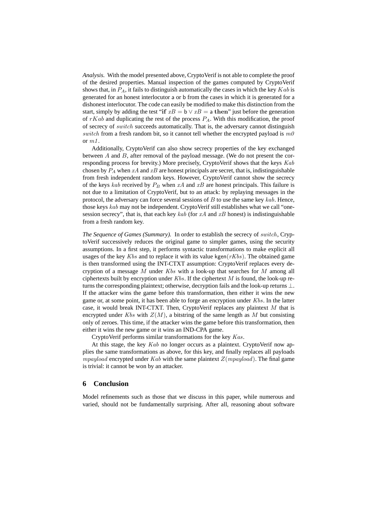*Analysis.* With the model presented above, CryptoVerif is not able to complete the proof of the desired properties. Manual inspection of the games computed by CryptoVerif shows that, in  $P_A$ , it fails to distinguish automatically the cases in which the key  $Kab$  is generated for an honest interlocutor a or b from the cases in which it is generated for a dishonest interlocutor. The code can easily be modified to make this distinction from the start, simply by adding the test "if  $xB = b \vee xB = a$  then" just before the generation of  $rKab$  and duplicating the rest of the process  $P_A$ . With this modification, the proof of secrecy of switch succeeds automatically. That is, the adversary cannot distinguish switch from a fresh random bit, so it cannot tell whether the encrypted payload is  $m\theta$ or  $m1$ .

Additionally, CryptoVerif can also show secrecy properties of the key exchanged between  $A$  and  $B$ , after removal of the payload message. (We do not present the corresponding process for brevity.) More precisely, CryptoVerif shows that the keys Kab chosen by  $P_A$  when xA and xB are honest principals are secret, that is, indistinguishable from fresh independent random keys. However, CryptoVerif cannot show the secrecy of the keys kab received by  $P_B$  when xA and xB are honest principals. This failure is not due to a limitation of CryptoVerif, but to an attack: by replaying messages in the protocol, the adversary can force several sessions of  $B$  to use the same key  $kab$ . Hence, those keys kab may not be independent. CryptoVerif still establishes what we call "onesession secrecy", that is, that each key kab (for  $xA$  and  $xB$  honest) is indistinguishable from a fresh random key.

*The Sequence of Games (Summary).* In order to establish the secrecy of switch, CryptoVerif successively reduces the original game to simpler games, using the security assumptions. In a first step, it performs syntactic transformations to make explicit all usages of the key Kbs and to replace it with its value kgen( $rKbs$ ). The obtained game is then transformed using the INT-CTXT assumption: CryptoVerif replaces every decryption of a message  $M$  under  $Kbs$  with a look-up that searches for  $M$  among all ciphertexts built by encryption under  $Kbs$ . If the ciphertext  $M$  is found, the look-up returns the corresponding plaintext; otherwise, decryption fails and the look-up returns  $\perp$ . If the attacker wins the game before this transformation, then either it wins the new game or, at some point, it has been able to forge an encryption under Kbs. In the latter case, it would break INT-CTXT. Then, CryptoVerif replaces any plaintext  $M$  that is encrypted under Kbs with  $Z(M)$ , a bitstring of the same length as M but consisting only of zeroes. This time, if the attacker wins the game before this transformation, then either it wins the new game or it wins an IND-CPA game.

CryptoVerif performs similar transformations for the key Kas.

At this stage, the key Kab no longer occurs as a plaintext. CryptoVerif now applies the same transformations as above, for this key, and finally replaces all payloads mpayload encrypted under Kab with the same plaintext  $Z(mpavid)$ . The final game is trivial: it cannot be won by an attacker.

## **6 Conclusion**

Model refinements such as those that we discuss in this paper, while numerous and varied, should not be fundamentally surprising. After all, reasoning about software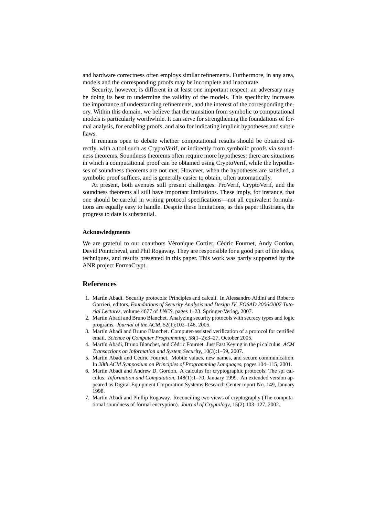and hardware correctness often employs similar refinements. Furthermore, in any area, models and the corresponding proofs may be incomplete and inaccurate.

Security, however, is different in at least one important respect: an adversary may be doing its best to undermine the validity of the models. This specificity increases the importance of understanding refinements, and the interest of the corresponding theory. Within this domain, we believe that the transition from symbolic to computational models is particularly worthwhile. It can serve for strengthening the foundations of formal analysis, for enabling proofs, and also for indicating implicit hypotheses and subtle flaws.

It remains open to debate whether computational results should be obtained directly, with a tool such as CryptoVerif, or indirectly from symbolic proofs via soundness theorems. Soundness theorems often require more hypotheses: there are situations in which a computational proof can be obtained using CryptoVerif, while the hypotheses of soundness theorems are not met. However, when the hypotheses are satisfied, a symbolic proof suffices, and is generally easier to obtain, often automatically.

At present, both avenues still present challenges. ProVerif, CryptoVerif, and the soundness theorems all still have important limitations. These imply, for instance, that one should be careful in writing protocol specifications—not all equivalent formulations are equally easy to handle. Despite these limitations, as this paper illustrates, the progress to date is substantial.

#### **Acknowledgments**

We are grateful to our coauthors Véronique Cortier, Cédric Fournet, Andy Gordon, David Pointcheval, and Phil Rogaway. They are responsible for a good part of the ideas, techniques, and results presented in this paper. This work was partly supported by the ANR project FormaCrypt.

## **References**

- 1. Martín Abadi. Security protocols: Principles and calculi. In Alessandro Aldini and Roberto Gorrieri, editors, *Foundations of Security Analysis and Design IV, FOSAD 2006/2007 Tutorial Lectures*, volume 4677 of *LNCS*, pages 1–23. Springer-Verlag, 2007.
- 2. Martín Abadi and Bruno Blanchet. Analyzing security protocols with secrecy types and logic programs. *Journal of the ACM*, 52(1):102–146, 2005.
- 3. Martín Abadi and Bruno Blanchet. Computer-assisted verification of a protocol for certified email. *Science of Computer Programming*, 58(1–2):3–27, October 2005.
- 4. Martín Abadi, Bruno Blanchet, and Cédric Fournet. Just Fast Keying in the pi calculus.  $ACM$ *Transactions on Information and System Security*, 10(3):1–59, 2007.
- 5. Martín Abadi and Cédric Fournet. Mobile values, new names, and secure communication. In *28th ACM Symposium on Principles of Programming Languages*, pages 104–115, 2001.
- 6. Martín Abadi and Andrew D. Gordon. A calculus for cryptographic protocols: The spi calculus. *Information and Computation*, 148(1):1–70, January 1999. An extended version appeared as Digital Equipment Corporation Systems Research Center report No. 149, January 1998.
- 7. Martín Abadi and Phillip Rogaway. Reconciling two views of cryptography (The computational soundness of formal encryption). *Journal of Cryptology*, 15(2):103–127, 2002.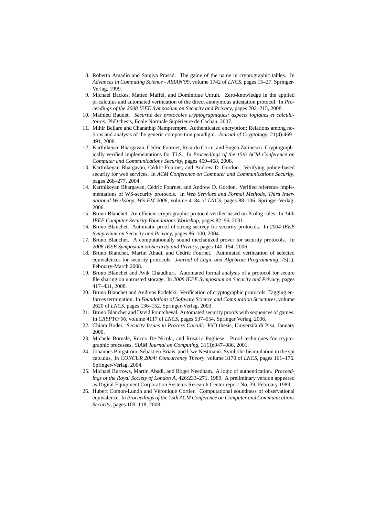- 8. Roberto Amadio and Sanjiva Prasad. The game of the name in cryptographic tables. In *Advances in Computing Science - ASIAN'99*, volume 1742 of *LNCS*, pages 15–27. Springer-Verlag, 1999.
- 9. Michael Backes, Matteo Maffei, and Dominique Unruh. Zero-knowledge in the applied pi-calculus and automated verification of the direct anonymous attestation protocol. In *Proceedings of the 2008 IEEE Symposium on Security and Privacy*, pages 202–215, 2008.
- 10. Mathieu Baudet. Sécurité des protocoles cryptographiques: aspects logiques et calculatoires. PhD thesis, Ecole Normale Supérieure de Cachan, 2007.
- 11. Mihir Bellare and Chanathip Namprempre. Authenticated encryption: Relations among notions and analysis of the generic composition paradigm. *Journal of Cryptology*, 21(4):469– 491, 2008.
- 12. Karthikeyan Bhargavan, Cedric Fournet, Ricardo Corin, and Eugen Zalinescu. Cryptograph- ´ ically verified implementations for TLS. In *Proceedings of the 15th ACM Conference on Computer and Communications Security*, pages 459–468, 2008.
- 13. Karthikeyan Bhargavan, Cedric Fournet, and Andrew D. Gordon. Verifying policy-based ´ security for web services. In *ACM Conference on Computer and Communications Security*, pages 268–277, 2004.
- 14. Karthikeyan Bhargavan, Cédric Fournet, and Andrew D. Gordon. Verified reference implementations of WS-security protocols. In *Web Services and Formal Methods, Third International Workshop, WS-FM 2006*, volume 4184 of *LNCS*, pages 88–106. Springer-Verlag, 2006.
- 15. Bruno Blanchet. An efficient cryptographic protocol verifier based on Prolog rules. In *14th IEEE Computer Security Foundations Workshop*, pages 82–96, 2001.
- 16. Bruno Blanchet. Automatic proof of strong secrecy for security protocols. In *2004 IEEE Symposium on Security and Privacy*, pages 86–100, 2004.
- 17. Bruno Blanchet. A computationally sound mechanized prover for security protocols. In *2006 IEEE Symposium on Security and Privacy*, pages 140–154, 2006.
- 18. Bruno Blanchet, Martín Abadi, and Cédric Fournet. Automated verification of selected equivalences for security protocols. *Journal of Logic and Algebraic Programming*, 75(1), February-March 2008.
- 19. Bruno Blanchet and Avik Chaudhuri. Automated formal analysis of a protocol for secure file sharing on untrusted storage. In *2008 IEEE Symposium on Security and Privacy*, pages 417–431, 2008.
- 20. Bruno Blanchet and Andreas Podelski. Verification of cryptographic protocols: Tagging enforces termination. In *Foundations of Software Science and Computation Structures*, volume 2620 of *LNCS*, pages 136–152. Springer-Verlag, 2003.
- 21. Bruno Blanchet and David Pointcheval. Automated security proofs with sequences of games. In *CRYPTO'06*, volume 4117 of *LNCS*, pages 537–554. Springer Verlag, 2006.
- 22. Chiara Bodei. *Security Issues in Process Calculi*. PhD thesis, Universita di Pisa, January ` 2000.
- 23. Michele Boreale, Rocco De Nicola, and Rosario Pugliese. Proof techniques for cryptographic processes. *SIAM Journal on Computing*, 31(3):947–986, 2001.
- 24. Johannes Borgström, Sébastien Briais, and Uwe Nestmann. Symbolic bisimulation in the spi calculus. In *CONCUR 2004: Concurrency Theory*, volume 3170 of *LNCS*, pages 161–176. Springer-Verlag, 2004.
- 25. Michael Burrows, Martín Abadi, and Roger Needham. A logic of authentication. *Proceedings of the Royal Society of London A*, 426:233–271, 1989. A preliminary version appeared as Digital Equipment Corporation Systems Research Center report No. 39, February 1989.
- 26. Hubert Comon-Lundh and Véronique Cortier. Computational soundness of observational equivalence. In *Proceedings of the 15th ACM Conference on Computer and Communications Security*, pages 109–118, 2008.